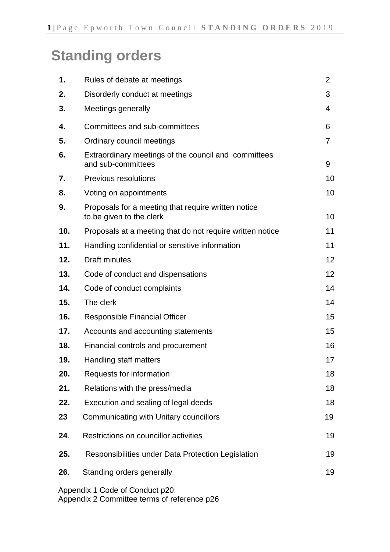# **Standing orders**

| 1.  | Rules of debate at meetings                                                     | $\overline{2}$    |
|-----|---------------------------------------------------------------------------------|-------------------|
| 2.  | Disorderly conduct at meetings                                                  | 3                 |
| 3.  | Meetings generally                                                              | 4                 |
| 4.  | Committees and sub-committees                                                   | 6                 |
| 5.  | Ordinary council meetings                                                       | $\overline{7}$    |
| 6.  | Extraordinary meetings of the council and committees<br>and sub-committees      | 9                 |
| 7.  | <b>Previous resolutions</b>                                                     | 10                |
| 8.  | Voting on appointments                                                          | 10                |
| 9.  | Proposals for a meeting that require written notice<br>to be given to the clerk | 10                |
| 10. | Proposals at a meeting that do not require written notice                       | 11                |
| 11. | Handling confidential or sensitive information                                  | 11                |
| 12. | <b>Draft minutes</b>                                                            | $12 \overline{ }$ |
| 13. | Code of conduct and dispensations                                               | 12                |
| 14. | Code of conduct complaints                                                      | 14                |
| 15. | The clerk                                                                       | 14                |
| 16. | <b>Responsible Financial Officer</b>                                            | 15                |
| 17. | Accounts and accounting statements                                              | 15                |
| 18. | Financial controls and procurement                                              | 16                |
| 19. | Handling staff matters                                                          | 17                |
| 20. | Requests for information                                                        | 18                |
| 21. | Relations with the press/media                                                  | 18                |
| 22. | Execution and sealing of legal deeds                                            | 18                |
| 23  | Communicating with Unitary councillors                                          | 19                |
| 24. | Restrictions on councillor activities                                           | 19                |
| 25. | Responsibilities under Data Protection Legislation                              | 19                |
| 26. | Standing orders generally                                                       | 19                |
|     | Appendix 1 Code of Conduct p20:                                                 |                   |

Appendix 2 Committee terms of reference p26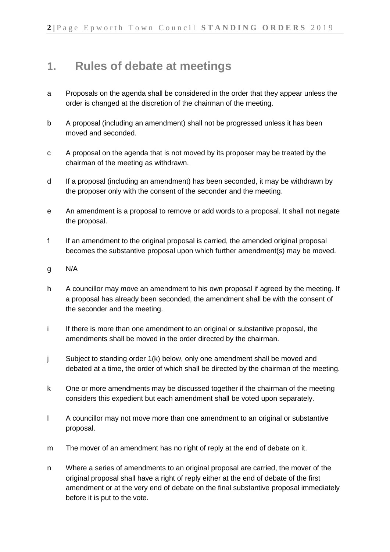## **1. Rules of debate at meetings**

- a Proposals on the agenda shall be considered in the order that they appear unless the order is changed at the discretion of the chairman of the meeting.
- b A proposal (including an amendment) shall not be progressed unless it has been moved and seconded.
- c A proposal on the agenda that is not moved by its proposer may be treated by the chairman of the meeting as withdrawn.
- d If a proposal (including an amendment) has been seconded, it may be withdrawn by the proposer only with the consent of the seconder and the meeting.
- e An amendment is a proposal to remove or add words to a proposal. It shall not negate the proposal.
- f If an amendment to the original proposal is carried, the amended original proposal becomes the substantive proposal upon which further amendment(s) may be moved.
- g N/A
- h A councillor may move an amendment to his own proposal if agreed by the meeting. If a proposal has already been seconded, the amendment shall be with the consent of the seconder and the meeting.
- i If there is more than one amendment to an original or substantive proposal, the amendments shall be moved in the order directed by the chairman.
- j Subject to standing order 1(k) below, only one amendment shall be moved and debated at a time, the order of which shall be directed by the chairman of the meeting.
- k One or more amendments may be discussed together if the chairman of the meeting considers this expedient but each amendment shall be voted upon separately.
- l A councillor may not move more than one amendment to an original or substantive proposal.
- m The mover of an amendment has no right of reply at the end of debate on it.
- n Where a series of amendments to an original proposal are carried, the mover of the original proposal shall have a right of reply either at the end of debate of the first amendment or at the very end of debate on the final substantive proposal immediately before it is put to the vote.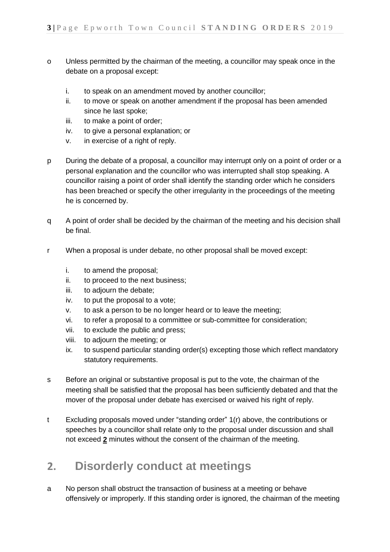- o Unless permitted by the chairman of the meeting, a councillor may speak once in the debate on a proposal except:
	- i. to speak on an amendment moved by another councillor;
	- ii. to move or speak on another amendment if the proposal has been amended since he last spoke;
	- iii. to make a point of order;
	- iv. to give a personal explanation; or
	- v. in exercise of a right of reply.
- p During the debate of a proposal, a councillor may interrupt only on a point of order or a personal explanation and the councillor who was interrupted shall stop speaking. A councillor raising a point of order shall identify the standing order which he considers has been breached or specify the other irregularity in the proceedings of the meeting he is concerned by.
- q A point of order shall be decided by the chairman of the meeting and his decision shall be final.
- r When a proposal is under debate, no other proposal shall be moved except:
	- i. to amend the proposal;
	- ii. to proceed to the next business;
	- iii. to adjourn the debate;
	- iv. to put the proposal to a vote;
	- v. to ask a person to be no longer heard or to leave the meeting;
	- vi. to refer a proposal to a committee or sub-committee for consideration;
	- vii. to exclude the public and press;
	- viii. to adjourn the meeting; or
	- ix. to suspend particular standing order(s) excepting those which reflect mandatory statutory requirements.
- s Before an original or substantive proposal is put to the vote, the chairman of the meeting shall be satisfied that the proposal has been sufficiently debated and that the mover of the proposal under debate has exercised or waived his right of reply.
- t Excluding proposals moved under "standing order" 1(r) above, the contributions or speeches by a councillor shall relate only to the proposal under discussion and shall not exceed **2** minutes without the consent of the chairman of the meeting.

## **2. Disorderly conduct at meetings**

a No person shall obstruct the transaction of business at a meeting or behave offensively or improperly. If this standing order is ignored, the chairman of the meeting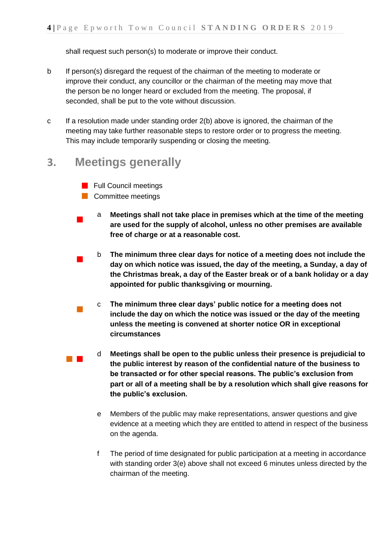shall request such person(s) to moderate or improve their conduct.

- b If person(s) disregard the request of the chairman of the meeting to moderate or improve their conduct, any councillor or the chairman of the meeting may move that the person be no longer heard or excluded from the meeting. The proposal, if seconded, shall be put to the vote without discussion.
- c If a resolution made under standing order 2(b) above is ignored, the chairman of the meeting may take further reasonable steps to restore order or to progress the meeting. This may include temporarily suspending or closing the meeting.

### **3. Meetings generally**

- **Full Council meetings**
- **Committee meetings**
- $\blacksquare$ a **Meetings shall not take place in premises which at the time of the meeting are used for the supply of alcohol, unless no other premises are available free of charge or at a reasonable cost.**
- $\blacksquare$ b **The minimum three clear days for notice of a meeting does not include the day on which notice was issued, the day of the meeting, a Sunday, a day of the Christmas break, a day of the Easter break or of a bank holiday or a day appointed for public thanksgiving or mourning.**
- $\mathcal{L}_{\mathcal{A}}$ c **The minimum three clear days' public notice for a meeting does not include the day on which the notice was issued or the day of the meeting unless the meeting is convened at shorter notice OR in exceptional circumstances**
- d **Meetings shall be open to the public unless their presence is prejudicial to the public interest by reason of the confidential nature of the business to be transacted or for other special reasons. The public's exclusion from part or all of a meeting shall be by a resolution which shall give reasons for the public's exclusion.**
	- e Members of the public may make representations, answer questions and give evidence at a meeting which they are entitled to attend in respect of the business on the agenda.
	- f The period of time designated for public participation at a meeting in accordance with standing order 3(e) above shall not exceed 6 minutes unless directed by the chairman of the meeting.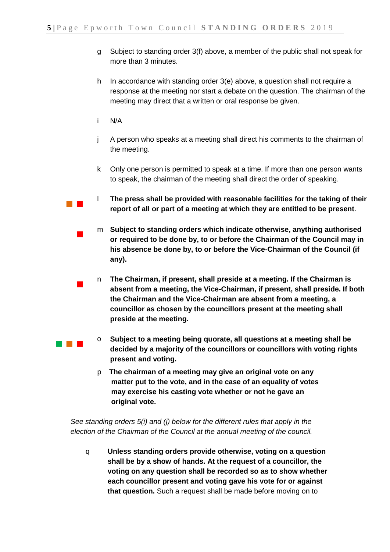- g Subject to standing order 3(f) above, a member of the public shall not speak for more than 3 minutes.
- h In accordance with standing order 3(e) above, a question shall not require a response at the meeting nor start a debate on the question. The chairman of the meeting may direct that a written or oral response be given.
- i N/A

 $\blacksquare$ 

- j A person who speaks at a meeting shall direct his comments to the chairman of the meeting.
- k Only one person is permitted to speak at a time. If more than one person wants to speak, the chairman of the meeting shall direct the order of speaking.
- $\mathcal{L}_{\text{max}}$ l **The press shall be provided with reasonable facilities for the taking of their report of all or part of a meeting at which they are entitled to be present**.
	- $\mathcal{L}_{\mathcal{A}}$ m **Subject to standing orders which indicate otherwise, anything authorised or required to be done by, to or before the Chairman of the Council may in his absence be done by, to or before the Vice-Chairman of the Council (if any).**
		- n **The Chairman, if present, shall preside at a meeting. If the Chairman is absent from a meeting, the Vice-Chairman, if present, shall preside. If both the Chairman and the Vice-Chairman are absent from a meeting, a councillor as chosen by the councillors present at the meeting shall preside at the meeting.**
- $\sim 10^{-1}$ o **Subject to a meeting being quorate, all questions at a meeting shall be decided by a majority of the councillors or councillors with voting rights present and voting.**
	- p **The chairman of a meeting may give an original vote on any matter put to the vote, and in the case of an equality of votes may exercise his casting vote whether or not he gave an original vote.**

*See standing orders 5(i) and (j) below for the different rules that apply in the election of the Chairman of the Council at the annual meeting of the council.*

q **Unless standing orders provide otherwise, voting on a question shall be by a show of hands. At the request of a councillor, the voting on any question shall be recorded so as to show whether each councillor present and voting gave his vote for or against that question.** Such a request shall be made before moving on to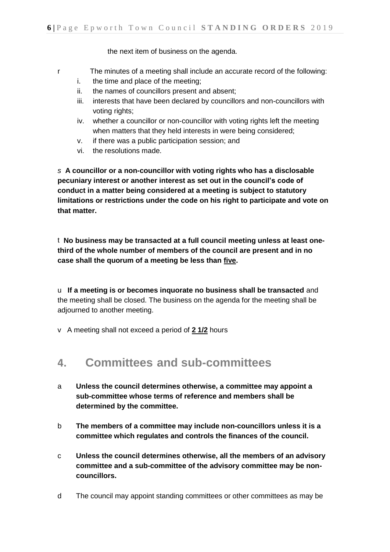the next item of business on the agenda.

- r The minutes of a meeting shall include an accurate record of the following:
	- i. the time and place of the meeting;
	- ii. the names of councillors present and absent;
	- iii. interests that have been declared by councillors and non-councillors with voting rights;
	- iv. whether a councillor or non-councillor with voting rights left the meeting when matters that they held interests in were being considered;
	- v. if there was a public participation session; and
	- vi. the resolutions made.

*s* **A councillor or a non-councillor with voting rights who has a disclosable pecuniary interest or another interest as set out in the council's code of conduct in a matter being considered at a meeting is subject to statutory limitations or restrictions under the code on his right to participate and vote on that matter.**

t **No business may be transacted at a full council meeting unless at least onethird of the whole number of members of the council are present and in no case shall the quorum of a meeting be less than five.**

u **If a meeting is or becomes inquorate no business shall be transacted** and the meeting shall be closed. The business on the agenda for the meeting shall be adjourned to another meeting.

v A meeting shall not exceed a period of **2 1/2** hours

## **4. Committees and sub-committees**

- a **Unless the council determines otherwise, a committee may appoint a sub-committee whose terms of reference and members shall be determined by the committee.**
- b **The members of a committee may include non-councillors unless it is a committee which regulates and controls the finances of the council.**
- c **Unless the council determines otherwise, all the members of an advisory committee and a sub-committee of the advisory committee may be noncouncillors.**
- d The council may appoint standing committees or other committees as may be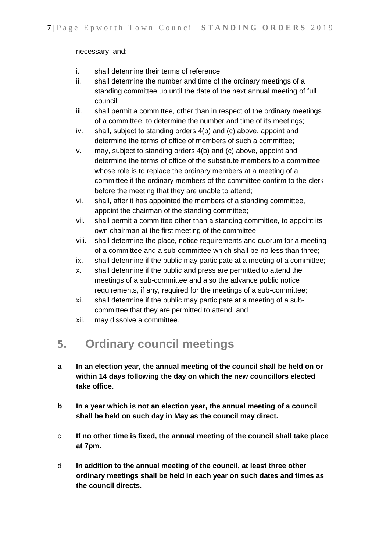necessary, and:

- i. shall determine their terms of reference;
- ii. shall determine the number and time of the ordinary meetings of a standing committee up until the date of the next annual meeting of full council;
- iii. shall permit a committee, other than in respect of the ordinary meetings of a committee, to determine the number and time of its meetings;
- iv. shall, subject to standing orders 4(b) and (c) above, appoint and determine the terms of office of members of such a committee;
- v. may, subject to standing orders 4(b) and (c) above, appoint and determine the terms of office of the substitute members to a committee whose role is to replace the ordinary members at a meeting of a committee if the ordinary members of the committee confirm to the clerk before the meeting that they are unable to attend;
- vi. shall, after it has appointed the members of a standing committee, appoint the chairman of the standing committee;
- vii. shall permit a committee other than a standing committee, to appoint its own chairman at the first meeting of the committee;
- viii. shall determine the place, notice requirements and quorum for a meeting of a committee and a sub-committee which shall be no less than three;
- ix. shall determine if the public may participate at a meeting of a committee;
- x. shall determine if the public and press are permitted to attend the meetings of a sub-committee and also the advance public notice requirements, if any, required for the meetings of a sub-committee;
- xi. shall determine if the public may participate at a meeting of a subcommittee that they are permitted to attend; and
- xii. may dissolve a committee.

## **5. Ordinary council meetings**

- **a In an election year, the annual meeting of the council shall be held on or within 14 days following the day on which the new councillors elected take office.**
- **b In a year which is not an election year, the annual meeting of a council shall be held on such day in May as the council may direct.**
- c **If no other time is fixed, the annual meeting of the council shall take place at 7pm.**
- d **In addition to the annual meeting of the council, at least three other ordinary meetings shall be held in each year on such dates and times as the council directs.**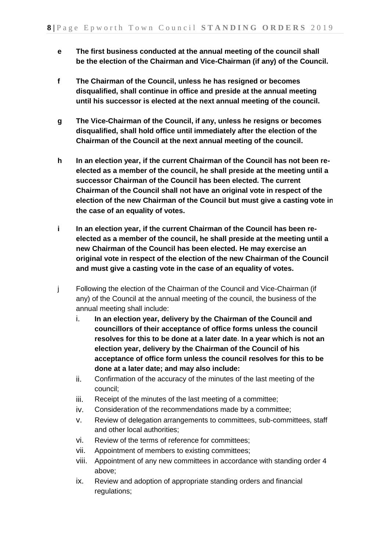- **e The first business conducted at the annual meeting of the council shall be the election of the Chairman and Vice-Chairman (if any) of the Council.**
- **f The Chairman of the Council, unless he has resigned or becomes disqualified, shall continue in office and preside at the annual meeting until his successor is elected at the next annual meeting of the council.**
- **g The Vice-Chairman of the Council, if any, unless he resigns or becomes disqualified, shall hold office until immediately after the election of the Chairman of the Council at the next annual meeting of the council.**
- **h In an election year, if the current Chairman of the Council has not been reelected as a member of the council, he shall preside at the meeting until a successor Chairman of the Council has been elected. The current Chairman of the Council shall not have an original vote in respect of the election of the new Chairman of the Council but must give a casting vote in the case of an equality of votes.**
- **i In an election year, if the current Chairman of the Council has been reelected as a member of the council, he shall preside at the meeting until a new Chairman of the Council has been elected. He may exercise an original vote in respect of the election of the new Chairman of the Council and must give a casting vote in the case of an equality of votes.**
- j Following the election of the Chairman of the Council and Vice-Chairman (if any) of the Council at the annual meeting of the council, the business of the annual meeting shall include:
	- i. **In an election year, delivery by the Chairman of the Council and councillors of their acceptance of office forms unless the council resolves for this to be done at a later date**. **In a year which is not an election year, delivery by the Chairman of the Council of his acceptance of office form unless the council resolves for this to be done at a later date; and may also include:**
	- ii. Confirmation of the accuracy of the minutes of the last meeting of the council;
	- iii. Receipt of the minutes of the last meeting of a committee;
	- iv. Consideration of the recommendations made by a committee;
	- v. Review of delegation arrangements to committees, sub-committees, staff and other local authorities;
	- vi. Review of the terms of reference for committees;
	- vii. Appointment of members to existing committees;
	- viii. Appointment of any new committees in accordance with standing order 4 above;
	- ix. Review and adoption of appropriate standing orders and financial regulations;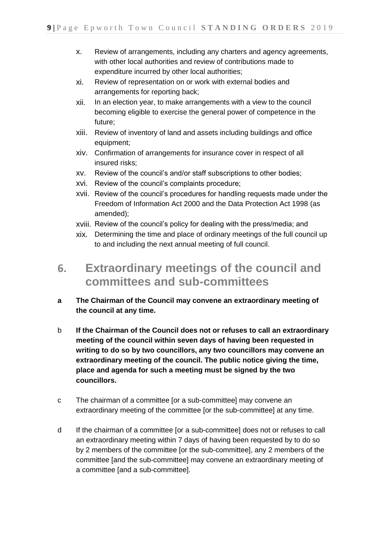- x. Review of arrangements, including any charters and agency agreements, with other local authorities and review of contributions made to expenditure incurred by other local authorities;
- xi. Review of representation on or work with external bodies and arrangements for reporting back;
- xii. In an election year, to make arrangements with a view to the council becoming eligible to exercise the general power of competence in the future;
- xiii. Review of inventory of land and assets including buildings and office equipment;
- xiv. Confirmation of arrangements for insurance cover in respect of all insured risks;
- xv. Review of the council's and/or staff subscriptions to other bodies;
- xvi. Review of the council's complaints procedure;
- xvii. Review of the council's procedures for handling requests made under the Freedom of Information Act 2000 and the Data Protection Act 1998 (as amended);
- xviii. Review of the council's policy for dealing with the press/media; and
- xix. Determining the time and place of ordinary meetings of the full council up to and including the next annual meeting of full council.
- **6. Extraordinary meetings of the council and committees and sub-committees**
- **a The Chairman of the Council may convene an extraordinary meeting of the council at any time.**
- b **If the Chairman of the Council does not or refuses to call an extraordinary meeting of the council within seven days of having been requested in writing to do so by two councillors, any two councillors may convene an extraordinary meeting of the council. The public notice giving the time, place and agenda for such a meeting must be signed by the two councillors.**
- c The chairman of a committee [or a sub-committee] may convene an extraordinary meeting of the committee [or the sub-committee] at any time.
- d If the chairman of a committee [or a sub-committee] does not or refuses to call an extraordinary meeting within 7 days of having been requested by to do so by 2 members of the committee [or the sub-committee], any 2 members of the committee [and the sub-committee] may convene an extraordinary meeting of a committee [and a sub-committee].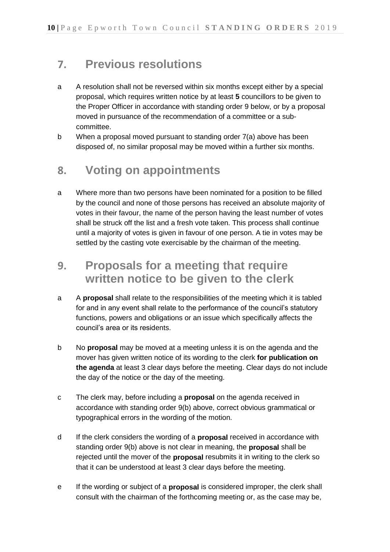## **7. Previous resolutions**

- a A resolution shall not be reversed within six months except either by a special proposal, which requires written notice by at least **5** councillors to be given to the Proper Officer in accordance with standing order 9 below, or by a proposal moved in pursuance of the recommendation of a committee or a subcommittee.
- b When a proposal moved pursuant to standing order 7(a) above has been disposed of, no similar proposal may be moved within a further six months.

## **8. Voting on appointments**

a Where more than two persons have been nominated for a position to be filled by the council and none of those persons has received an absolute majority of votes in their favour, the name of the person having the least number of votes shall be struck off the list and a fresh vote taken. This process shall continue until a majority of votes is given in favour of one person. A tie in votes may be settled by the casting vote exercisable by the chairman of the meeting.

## **9. Proposals for a meeting that require written notice to be given to the clerk**

- a A **proposal** shall relate to the responsibilities of the meeting which it is tabled for and in any event shall relate to the performance of the council's statutory functions, powers and obligations or an issue which specifically affects the council's area or its residents.
- b No **proposal** may be moved at a meeting unless it is on the agenda and the mover has given written notice of its wording to the clerk **for publication on the agenda** at least 3 clear days before the meeting. Clear days do not include the day of the notice or the day of the meeting.
- c The clerk may, before including a **proposal** on the agenda received in accordance with standing order 9(b) above, correct obvious grammatical or typographical errors in the wording of the motion.
- d If the clerk considers the wording of a **proposal** received in accordance with standing order 9(b) above is not clear in meaning, the **proposal** shall be rejected until the mover of the **proposal** resubmits it in writing to the clerk so that it can be understood at least 3 clear days before the meeting.
- e If the wording or subject of a **proposal** is considered improper, the clerk shall consult with the chairman of the forthcoming meeting or, as the case may be,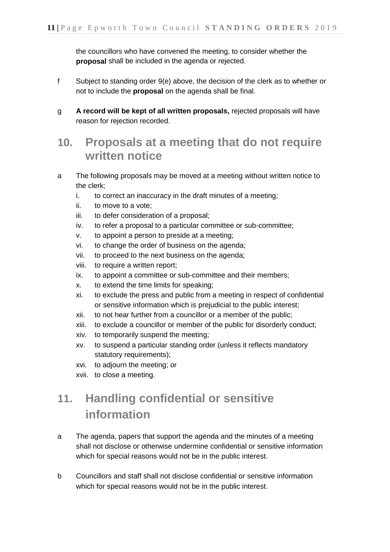the councillors who have convened the meeting, to consider whether the **proposal** shall be included in the agenda or rejected.

- f Subject to standing order 9(e) above, the decision of the clerk as to whether or not to include the **proposal** on the agenda shall be final.
- g **A record will be kept of all written proposals,** rejected proposals will have reason for rejection recorded.

## **10. Proposals at a meeting that do not require written notice**

- a The following proposals may be moved at a meeting without written notice to the clerk;
	- i. to correct an inaccuracy in the draft minutes of a meeting;
	- ii. to move to a vote;
	- iii. to defer consideration of a proposal;
	- iv. to refer a proposal to a particular committee or sub-committee;
	- v. to appoint a person to preside at a meeting;
	- vi. to change the order of business on the agenda;
	- vii. to proceed to the next business on the agenda;
	- viii. to require a written report;
	- ix. to appoint a committee or sub-committee and their members;
	- x. to extend the time limits for speaking;
	- xi. to exclude the press and public from a meeting in respect of confidential or sensitive information which is prejudicial to the public interest;
	- xii. to not hear further from a councillor or a member of the public;
	- xiii. to exclude a councillor or member of the public for disorderly conduct;
	- xiv. to temporarily suspend the meeting;
	- xv. to suspend a particular standing order (unless it reflects mandatory statutory requirements);
	- xvi. to adjourn the meeting; or
	- xvii. to close a meeting.

## **11. Handling confidential or sensitive information**

- a The agenda, papers that support the agenda and the minutes of a meeting shall not disclose or otherwise undermine confidential or sensitive information which for special reasons would not be in the public interest.
- b Councillors and staff shall not disclose confidential or sensitive information which for special reasons would not be in the public interest.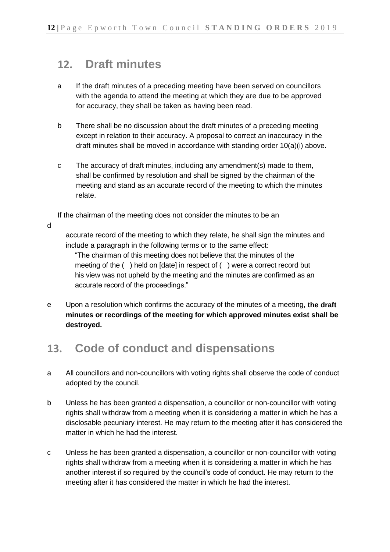## **12. Draft minutes**

- a If the draft minutes of a preceding meeting have been served on councillors with the agenda to attend the meeting at which they are due to be approved for accuracy, they shall be taken as having been read.
- b There shall be no discussion about the draft minutes of a preceding meeting except in relation to their accuracy. A proposal to correct an inaccuracy in the draft minutes shall be moved in accordance with standing order 10(a)(i) above.
- c The accuracy of draft minutes, including any amendment(s) made to them, shall be confirmed by resolution and shall be signed by the chairman of the meeting and stand as an accurate record of the meeting to which the minutes relate.

If the chairman of the meeting does not consider the minutes to be an

d

accurate record of the meeting to which they relate, he shall sign the minutes and include a paragraph in the following terms or to the same effect:

"The chairman of this meeting does not believe that the minutes of the meeting of the ( ) held on [date] in respect of ( ) were a correct record but his view was not upheld by the meeting and the minutes are confirmed as an accurate record of the proceedings."

e Upon a resolution which confirms the accuracy of the minutes of a meeting, **the draft minutes or recordings of the meeting for which approved minutes exist shall be destroyed.**

## **13. Code of conduct and dispensations**

- a All councillors and non-councillors with voting rights shall observe the code of conduct adopted by the council.
- b Unless he has been granted a dispensation, a councillor or non-councillor with voting rights shall withdraw from a meeting when it is considering a matter in which he has a disclosable pecuniary interest. He may return to the meeting after it has considered the matter in which he had the interest.
- c Unless he has been granted a dispensation, a councillor or non-councillor with voting rights shall withdraw from a meeting when it is considering a matter in which he has another interest if so required by the council's code of conduct. He may return to the meeting after it has considered the matter in which he had the interest.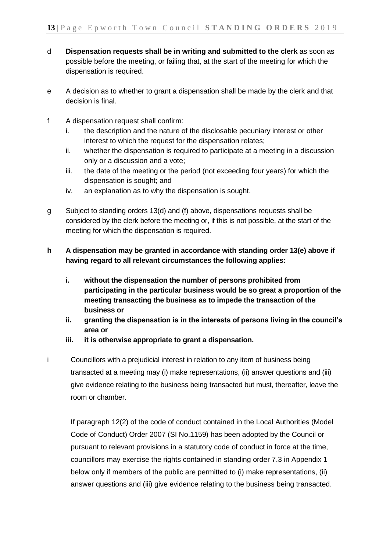- d **Dispensation requests shall be in writing and submitted to the clerk** as soon as possible before the meeting, or failing that, at the start of the meeting for which the dispensation is required.
- e A decision as to whether to grant a dispensation shall be made by the clerk and that decision is final.
- f A dispensation request shall confirm:
	- i. the description and the nature of the disclosable pecuniary interest or other interest to which the request for the dispensation relates;
	- ii. whether the dispensation is required to participate at a meeting in a discussion only or a discussion and a vote;
	- iii. the date of the meeting or the period (not exceeding four years) for which the dispensation is sought; and
	- iv. an explanation as to why the dispensation is sought.
- g Subject to standing orders 13(d) and (f) above, dispensations requests shall be considered by the clerk before the meeting or, if this is not possible, at the start of the meeting for which the dispensation is required.
- **h A dispensation may be granted in accordance with standing order 13(e) above if having regard to all relevant circumstances the following applies:**
	- **i. without the dispensation the number of persons prohibited from participating in the particular business would be so great a proportion of the meeting transacting the business as to impede the transaction of the business or**
	- **ii. granting the dispensation is in the interests of persons living in the council's area or**
	- **iii. it is otherwise appropriate to grant a dispensation.**
- i Councillors with a prejudicial interest in relation to any item of business being transacted at a meeting may (i) make representations, (ii) answer questions and (iii) give evidence relating to the business being transacted but must, thereafter, leave the room or chamber.

If paragraph 12(2) of the code of conduct contained in the Local Authorities (Model Code of Conduct) Order 2007 (SI No.1159) has been adopted by the Council or pursuant to relevant provisions in a statutory code of conduct in force at the time, councillors may exercise the rights contained in standing order 7.3 in Appendix 1 below only if members of the public are permitted to (i) make representations, (ii) answer questions and (iii) give evidence relating to the business being transacted.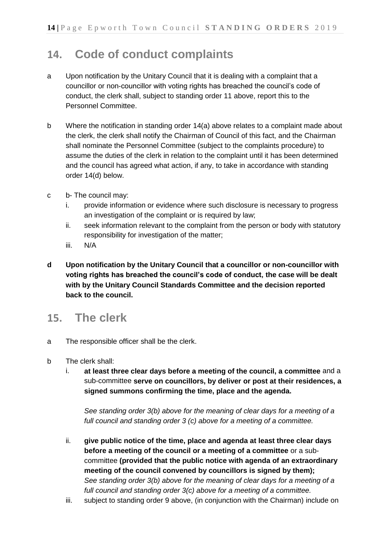## **14. Code of conduct complaints**

- a Upon notification by the Unitary Council that it is dealing with a complaint that a councillor or non-councillor with voting rights has breached the council's code of conduct, the clerk shall, subject to standing order 11 above, report this to the Personnel Committee.
- b Where the notification in standing order 14(a) above relates to a complaint made about the clerk, the clerk shall notify the Chairman of Council of this fact, and the Chairman shall nominate the Personnel Committee (subject to the complaints procedure) to assume the duties of the clerk in relation to the complaint until it has been determined and the council has agreed what action, if any, to take in accordance with standing order 14(d) below.
- c b- The council may:
	- i. provide information or evidence where such disclosure is necessary to progress an investigation of the complaint or is required by law;
	- ii. seek information relevant to the complaint from the person or body with statutory responsibility for investigation of the matter;
	- iii. N/A
- **d Upon notification by the Unitary Council that a councillor or non-councillor with voting rights has breached the council's code of conduct, the case will be dealt with by the Unitary Council Standards Committee and the decision reported back to the council.**

### **15. The clerk**

- a The responsible officer shall be the clerk.
- b The clerk shall:
	- i. **at least three clear days before a meeting of the council, a committee** and a sub-committee **serve on councillors, by deliver or post at their residences, a signed summons confirming the time, place and the agenda.**

*See standing order 3(b) above for the meaning of clear days for a meeting of a full council and standing order 3 (c) above for a meeting of a committee.*

- ii. **give public notice of the time, place and agenda at least three clear days before a meeting of the council or a meeting of a committee** or a subcommittee **(provided that the public notice with agenda of an extraordinary meeting of the council convened by councillors is signed by them);** *See standing order 3(b) above for the meaning of clear days for a meeting of a full council and standing order 3(c) above for a meeting of a committee.*
- iii. subject to standing order 9 above, (in conjunction with the Chairman) include on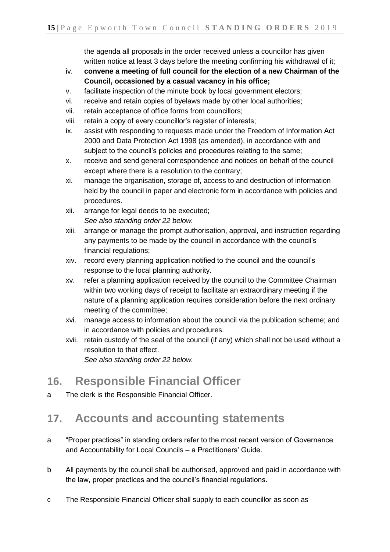the agenda all proposals in the order received unless a councillor has given written notice at least 3 days before the meeting confirming his withdrawal of it;

- iv. **convene a meeting of full council for the election of a new Chairman of the Council, occasioned by a casual vacancy in his office;**
- v. facilitate inspection of the minute book by local government electors;
- vi. receive and retain copies of byelaws made by other local authorities;
- vii. retain acceptance of office forms from councillors;
- viii. retain a copy of every councillor's register of interests;
- ix. assist with responding to requests made under the Freedom of Information Act 2000 and Data Protection Act 1998 (as amended), in accordance with and subject to the council's policies and procedures relating to the same;
- x. receive and send general correspondence and notices on behalf of the council except where there is a resolution to the contrary;
- xi. manage the organisation, storage of, access to and destruction of information held by the council in paper and electronic form in accordance with policies and procedures.
- xii. arrange for legal deeds to be executed; *See also standing order 22 below.*
- xiii. arrange or manage the prompt authorisation, approval, and instruction regarding any payments to be made by the council in accordance with the council's financial regulations;
- xiv. record every planning application notified to the council and the council's response to the local planning authority.
- xv. refer a planning application received by the council to the Committee Chairman within two working days of receipt to facilitate an extraordinary meeting if the nature of a planning application requires consideration before the next ordinary meeting of the committee;
- xvi. manage access to information about the council via the publication scheme; and in accordance with policies and procedures.
- xvii. retain custody of the seal of the council (if any) which shall not be used without a resolution to that effect.

*See also standing order 22 below.*

## **16. Responsible Financial Officer**

a The clerk is the Responsible Financial Officer.

## **17. Accounts and accounting statements**

- a "Proper practices" in standing orders refer to the most recent version of Governance and Accountability for Local Councils – a Practitioners' Guide.
- b All payments by the council shall be authorised, approved and paid in accordance with the law, proper practices and the council's financial regulations.
- c The Responsible Financial Officer shall supply to each councillor as soon as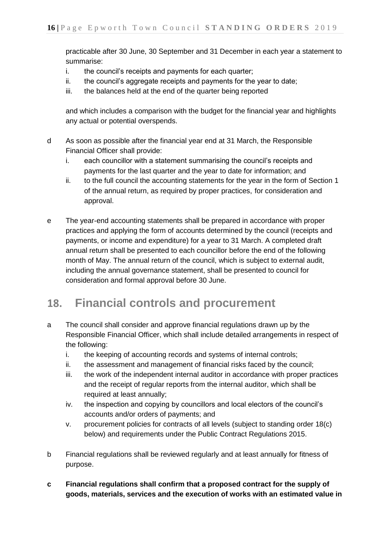practicable after 30 June, 30 September and 31 December in each year a statement to summarise:

- i. the council's receipts and payments for each quarter;
- ii. the council's aggregate receipts and payments for the year to date;
- iii. the balances held at the end of the quarter being reported

and which includes a comparison with the budget for the financial year and highlights any actual or potential overspends.

- d As soon as possible after the financial year end at 31 March, the Responsible Financial Officer shall provide:
	- i. each councillor with a statement summarising the council's receipts and payments for the last quarter and the year to date for information; and
	- ii. to the full council the accounting statements for the year in the form of Section 1 of the annual return, as required by proper practices, for consideration and approval.
- e The year-end accounting statements shall be prepared in accordance with proper practices and applying the form of accounts determined by the council (receipts and payments, or income and expenditure) for a year to 31 March. A completed draft annual return shall be presented to each councillor before the end of the following month of May. The annual return of the council, which is subject to external audit, including the annual governance statement, shall be presented to council for consideration and formal approval before 30 June.

## **18. Financial controls and procurement**

- a The council shall consider and approve financial regulations drawn up by the Responsible Financial Officer, which shall include detailed arrangements in respect of the following:
	- i. the keeping of accounting records and systems of internal controls;
	- ii. the assessment and management of financial risks faced by the council;
	- iii. the work of the independent internal auditor in accordance with proper practices and the receipt of regular reports from the internal auditor, which shall be required at least annually;
	- iv. the inspection and copying by councillors and local electors of the council's accounts and/or orders of payments; and
	- v. procurement policies for contracts of all levels (subject to standing order 18(c) below) and requirements under the Public Contract Regulations 2015.
- b Financial regulations shall be reviewed regularly and at least annually for fitness of purpose.
- **c Financial regulations shall confirm that a proposed contract for the supply of goods, materials, services and the execution of works with an estimated value in**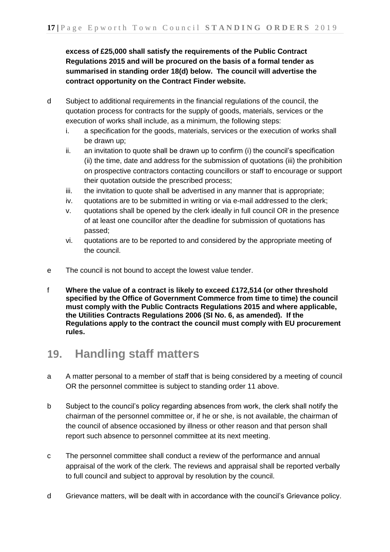**excess of £25,000 shall satisfy the requirements of the Public Contract Regulations 2015 and will be procured on the basis of a formal tender as summarised in standing order 18(d) below. The council will advertise the contract opportunity on the Contract Finder website.**

- d Subject to additional requirements in the financial regulations of the council, the quotation process for contracts for the supply of goods, materials, services or the execution of works shall include, as a minimum, the following steps:
	- i. a specification for the goods, materials, services or the execution of works shall be drawn up;
	- ii. an invitation to quote shall be drawn up to confirm (i) the council's specification (ii) the time, date and address for the submission of quotations (iii) the prohibition on prospective contractors contacting councillors or staff to encourage or support their quotation outside the prescribed process;
	- iii. the invitation to quote shall be advertised in any manner that is appropriate;
	- iv. quotations are to be submitted in writing or via e-mail addressed to the clerk;
	- v. quotations shall be opened by the clerk ideally in full council OR in the presence of at least one councillor after the deadline for submission of quotations has passed;
	- vi. quotations are to be reported to and considered by the appropriate meeting of the council.
- e The council is not bound to accept the lowest value tender.
- f **Where the value of a contract is likely to exceed £172,514 (or other threshold specified by the Office of Government Commerce from time to time) the council must comply with the Public Contracts Regulations 2015 and where applicable, the Utilities Contracts Regulations 2006 (SI No. 6, as amended). If the Regulations apply to the contract the council must comply with EU procurement rules.**

## **19. Handling staff matters**

- a A matter personal to a member of staff that is being considered by a meeting of council OR the personnel committee is subject to standing order 11 above.
- b Subject to the council's policy regarding absences from work, the clerk shall notify the chairman of the personnel committee or, if he or she, is not available, the chairman of the council of absence occasioned by illness or other reason and that person shall report such absence to personnel committee at its next meeting.
- c The personnel committee shall conduct a review of the performance and annual appraisal of the work of the clerk. The reviews and appraisal shall be reported verbally to full council and subject to approval by resolution by the council.
- d Grievance matters, will be dealt with in accordance with the council's Grievance policy.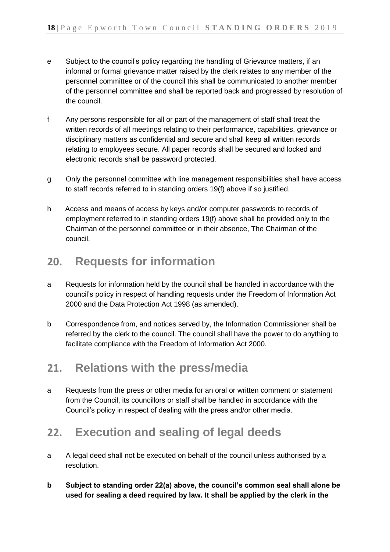- e Subject to the council's policy regarding the handling of Grievance matters, if an informal or formal grievance matter raised by the clerk relates to any member of the personnel committee or of the council this shall be communicated to another member of the personnel committee and shall be reported back and progressed by resolution of the council.
- f Any persons responsible for all or part of the management of staff shall treat the written records of all meetings relating to their performance, capabilities, grievance or disciplinary matters as confidential and secure and shall keep all written records relating to employees secure. All paper records shall be secured and locked and electronic records shall be password protected.
- g Only the personnel committee with line management responsibilities shall have access to staff records referred to in standing orders 19(f) above if so justified.
- h Access and means of access by keys and/or computer passwords to records of employment referred to in standing orders 19(f) above shall be provided only to the Chairman of the personnel committee or in their absence, The Chairman of the council.

## **20. Requests for information**

- a Requests for information held by the council shall be handled in accordance with the council's policy in respect of handling requests under the Freedom of Information Act 2000 and the Data Protection Act 1998 (as amended).
- b Correspondence from, and notices served by, the Information Commissioner shall be referred by the clerk to the council. The council shall have the power to do anything to facilitate compliance with the Freedom of Information Act 2000.

## **21. Relations with the press/media**

a Requests from the press or other media for an oral or written comment or statement from the Council, its councillors or staff shall be handled in accordance with the Council's policy in respect of dealing with the press and/or other media.

## **22. Execution and sealing of legal deeds**

- a A legal deed shall not be executed on behalf of the council unless authorised by a resolution.
- **b Subject to standing order 22(a) above, the council's common seal shall alone be used for sealing a deed required by law. It shall be applied by the clerk in the**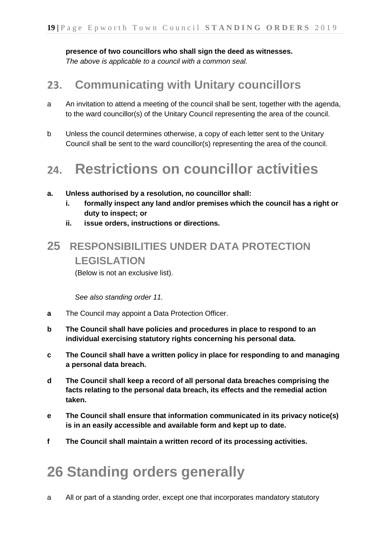**presence of two councillors who shall sign the deed as witnesses.** *The above is applicable to a council with a common seal.*

## **23. Communicating with Unitary councillors**

- a An invitation to attend a meeting of the council shall be sent, together with the agenda, to the ward councillor(s) of the Unitary Council representing the area of the council.
- b Unless the council determines otherwise, a copy of each letter sent to the Unitary Council shall be sent to the ward councillor(s) representing the area of the council.

## **24. Restrictions on councillor activities**

- **a. Unless authorised by a resolution, no councillor shall:**
	- **i. formally inspect any land and/or premises which the council has a right or duty to inspect; or**
	- **ii. issue orders, instructions or directions.**

## **25 RESPONSIBILITIES UNDER DATA PROTECTION LEGISLATION**

(Below is not an exclusive list).

*See also standing order 11.*

- **a** The Council may appoint a Data Protection Officer.
- **b The Council shall have policies and procedures in place to respond to an individual exercising statutory rights concerning his personal data.**
- **c The Council shall have a written policy in place for responding to and managing a personal data breach.**
- **d The Council shall keep a record of all personal data breaches comprising the facts relating to the personal data breach, its effects and the remedial action taken.**
- **e The Council shall ensure that information communicated in its privacy notice(s) is in an easily accessible and available form and kept up to date.**
- **f The Council shall maintain a written record of its processing activities.**

# **26 Standing orders generally**

a All or part of a standing order, except one that incorporates mandatory statutory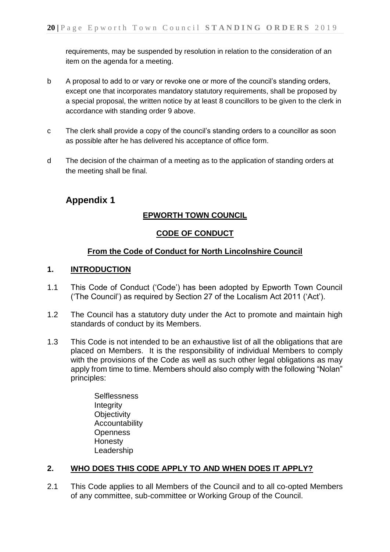requirements, may be suspended by resolution in relation to the consideration of an item on the agenda for a meeting.

- b A proposal to add to or vary or revoke one or more of the council's standing orders, except one that incorporates mandatory statutory requirements, shall be proposed by a special proposal, the written notice by at least 8 councillors to be given to the clerk in accordance with standing order 9 above.
- c The clerk shall provide a copy of the council's standing orders to a councillor as soon as possible after he has delivered his acceptance of office form.
- d The decision of the chairman of a meeting as to the application of standing orders at the meeting shall be final.

#### **Appendix 1**

#### **EPWORTH TOWN COUNCIL**

#### **CODE OF CONDUCT**

#### **From the Code of Conduct for North Lincolnshire Council**

#### **1. INTRODUCTION**

- 1.1 This Code of Conduct ('Code') has been adopted by Epworth Town Council ('The Council') as required by Section 27 of the Localism Act 2011 ('Act').
- 1.2 The Council has a statutory duty under the Act to promote and maintain high standards of conduct by its Members.
- 1.3 This Code is not intended to be an exhaustive list of all the obligations that are placed on Members. It is the responsibility of individual Members to comply with the provisions of the Code as well as such other legal obligations as may apply from time to time. Members should also comply with the following "Nolan" principles:
	- **Selflessness Integrity Objectivity** Accountability **Openness** Honesty Leadership

#### **2. WHO DOES THIS CODE APPLY TO AND WHEN DOES IT APPLY?**

2.1 This Code applies to all Members of the Council and to all co-opted Members of any committee, sub-committee or Working Group of the Council.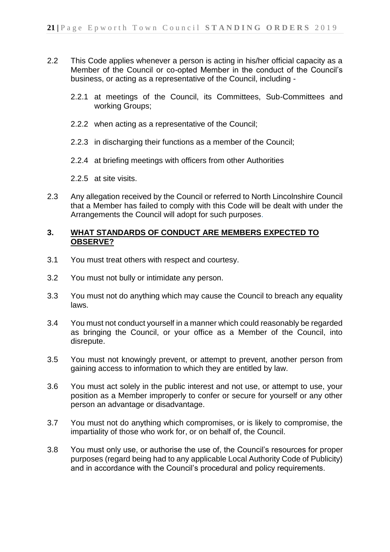- 2.2 This Code applies whenever a person is acting in his/her official capacity as a Member of the Council or co-opted Member in the conduct of the Council's business, or acting as a representative of the Council, including -
	- 2.2.1 at meetings of the Council, its Committees, Sub-Committees and working Groups;
	- 2.2.2 when acting as a representative of the Council;
	- 2.2.3 in discharging their functions as a member of the Council;
	- 2.2.4 at briefing meetings with officers from other Authorities
	- 2.2.5 at site visits.
- 2.3 Any allegation received by the Council or referred to North Lincolnshire Council that a Member has failed to comply with this Code will be dealt with under the Arrangements the Council will adopt for such purposes.

#### **3. WHAT STANDARDS OF CONDUCT ARE MEMBERS EXPECTED TO OBSERVE?**

- 3.1 You must treat others with respect and courtesy.
- 3.2 You must not bully or intimidate any person.
- 3.3 You must not do anything which may cause the Council to breach any equality laws.
- 3.4 You must not conduct yourself in a manner which could reasonably be regarded as bringing the Council, or your office as a Member of the Council, into disrepute.
- 3.5 You must not knowingly prevent, or attempt to prevent, another person from gaining access to information to which they are entitled by law.
- 3.6 You must act solely in the public interest and not use, or attempt to use, your position as a Member improperly to confer or secure for yourself or any other person an advantage or disadvantage.
- 3.7 You must not do anything which compromises, or is likely to compromise, the impartiality of those who work for, or on behalf of, the Council.
- 3.8 You must only use, or authorise the use of, the Council's resources for proper purposes (regard being had to any applicable Local Authority Code of Publicity) and in accordance with the Council's procedural and policy requirements.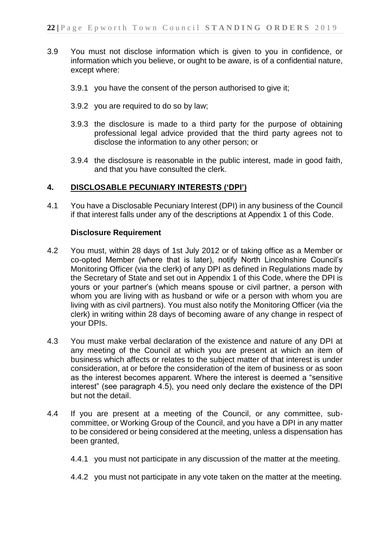- 3.9 You must not disclose information which is given to you in confidence, or information which you believe, or ought to be aware, is of a confidential nature, except where:
	- 3.9.1 you have the consent of the person authorised to give it;
	- 3.9.2 you are required to do so by law;
	- 3.9.3 the disclosure is made to a third party for the purpose of obtaining professional legal advice provided that the third party agrees not to disclose the information to any other person; or
	- 3.9.4 the disclosure is reasonable in the public interest, made in good faith, and that you have consulted the clerk.

#### **4. DISCLOSABLE PECUNIARY INTERESTS ('DPI')**

4.1 You have a Disclosable Pecuniary Interest (DPI) in any business of the Council if that interest falls under any of the descriptions at Appendix 1 of this Code.

#### **Disclosure Requirement**

- 4.2 You must, within 28 days of 1st July 2012 or of taking office as a Member or co-opted Member (where that is later), notify North Lincolnshire Council's Monitoring Officer (via the clerk) of any DPI as defined in Regulations made by the Secretary of State and set out in Appendix 1 of this Code, where the DPI is yours or your partner's (which means spouse or civil partner, a person with whom you are living with as husband or wife or a person with whom you are living with as civil partners). You must also notify the Monitoring Officer (via the clerk) in writing within 28 days of becoming aware of any change in respect of your DPIs.
- 4.3 You must make verbal declaration of the existence and nature of any DPI at any meeting of the Council at which you are present at which an item of business which affects or relates to the subject matter of that interest is under consideration, at or before the consideration of the item of business or as soon as the interest becomes apparent. Where the interest is deemed a "sensitive interest" (see paragraph 4.5), you need only declare the existence of the DPI but not the detail.
- 4.4 If you are present at a meeting of the Council, or any committee, subcommittee, or Working Group of the Council, and you have a DPI in any matter to be considered or being considered at the meeting, unless a dispensation has been granted,
	- 4.4.1 you must not participate in any discussion of the matter at the meeting.
	- 4.4.2 you must not participate in any vote taken on the matter at the meeting.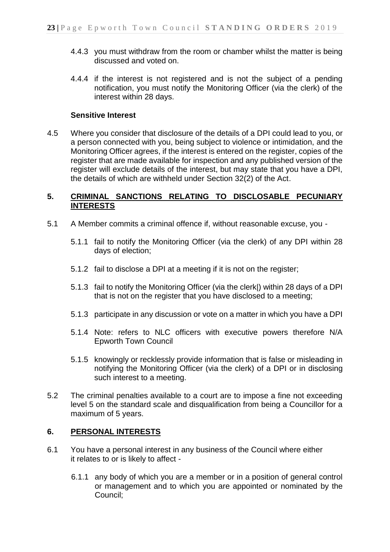- 4.4.3 you must withdraw from the room or chamber whilst the matter is being discussed and voted on.
- 4.4.4 if the interest is not registered and is not the subject of a pending notification, you must notify the Monitoring Officer (via the clerk) of the interest within 28 days.

#### **Sensitive Interest**

4.5 Where you consider that disclosure of the details of a DPI could lead to you, or a person connected with you, being subject to violence or intimidation, and the Monitoring Officer agrees, if the interest is entered on the register, copies of the register that are made available for inspection and any published version of the register will exclude details of the interest, but may state that you have a DPI, the details of which are withheld under Section 32(2) of the Act.

#### **5. CRIMINAL SANCTIONS RELATING TO DISCLOSABLE PECUNIARY INTERESTS**

- 5.1 A Member commits a criminal offence if, without reasonable excuse, you
	- 5.1.1 fail to notify the Monitoring Officer (via the clerk) of any DPI within 28 days of election;
	- 5.1.2 fail to disclose a DPI at a meeting if it is not on the register;
	- 5.1.3 fail to notify the Monitoring Officer (via the clerk|) within 28 days of a DPI that is not on the register that you have disclosed to a meeting;
	- 5.1.3 participate in any discussion or vote on a matter in which you have a DPI
	- 5.1.4 Note: refers to NLC officers with executive powers therefore N/A Epworth Town Council
	- 5.1.5 knowingly or recklessly provide information that is false or misleading in notifying the Monitoring Officer (via the clerk) of a DPI or in disclosing such interest to a meeting.
- 5.2 The criminal penalties available to a court are to impose a fine not exceeding level 5 on the standard scale and disqualification from being a Councillor for a maximum of 5 years.

#### **6. PERSONAL INTERESTS**

- 6.1 You have a personal interest in any business of the Council where either it relates to or is likely to affect -
	- 6.1.1 any body of which you are a member or in a position of general control or management and to which you are appointed or nominated by the Council;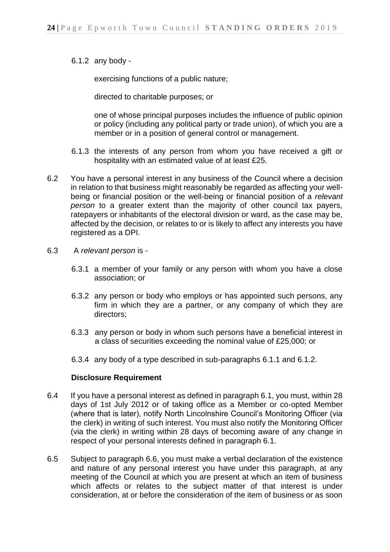6.1.2 any body -

exercising functions of a public nature;

directed to charitable purposes; or

one of whose principal purposes includes the influence of public opinion or policy (including any political party or trade union), of which you are a member or in a position of general control or management.

- 6.1.3 the interests of any person from whom you have received a gift or hospitality with an estimated value of at least £25.
- 6.2 You have a personal interest in any business of the Council where a decision in relation to that business might reasonably be regarded as affecting your wellbeing or financial position or the well-being or financial position of a *relevant person* to a greater extent than the majority of other council tax payers, ratepayers or inhabitants of the electoral division or ward, as the case may be, affected by the decision, or relates to or is likely to affect any interests you have registered as a DPI.
- 6.3 A *relevant person* is
	- 6.3.1 a member of your family or any person with whom you have a close association; or
	- 6.3.2 any person or body who employs or has appointed such persons, any firm in which they are a partner, or any company of which they are directors;
	- 6.3.3 any person or body in whom such persons have a beneficial interest in a class of securities exceeding the nominal value of £25,000; or
	- 6.3.4 any body of a type described in sub-paragraphs 6.1.1 and 6.1.2.

#### **Disclosure Requirement**

- 6.4 If you have a personal interest as defined in paragraph 6.1, you must, within 28 days of 1st July 2012 or of taking office as a Member or co-opted Member (where that is later), notify North Lincolnshire Council's Monitoring Officer (via the clerk) in writing of such interest. You must also notify the Monitoring Officer (via the clerk) in writing within 28 days of becoming aware of any change in respect of your personal interests defined in paragraph 6.1.
- 6.5 Subject to paragraph 6.6, you must make a verbal declaration of the existence and nature of any personal interest you have under this paragraph, at any meeting of the Council at which you are present at which an item of business which affects or relates to the subject matter of that interest is under consideration, at or before the consideration of the item of business or as soon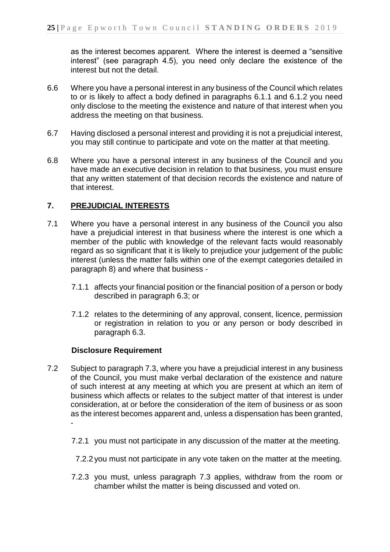as the interest becomes apparent. Where the interest is deemed a "sensitive interest" (see paragraph 4.5), you need only declare the existence of the interest but not the detail.

- 6.6 Where you have a personal interest in any business of the Council which relates to or is likely to affect a body defined in paragraphs 6.1.1 and 6.1.2 you need only disclose to the meeting the existence and nature of that interest when you address the meeting on that business.
- 6.7 Having disclosed a personal interest and providing it is not a prejudicial interest, you may still continue to participate and vote on the matter at that meeting.
- 6.8 Where you have a personal interest in any business of the Council and you have made an executive decision in relation to that business, you must ensure that any written statement of that decision records the existence and nature of that interest.

#### **7. PREJUDICIAL INTERESTS**

- 7.1 Where you have a personal interest in any business of the Council you also have a prejudicial interest in that business where the interest is one which a member of the public with knowledge of the relevant facts would reasonably regard as so significant that it is likely to prejudice your judgement of the public interest (unless the matter falls within one of the exempt categories detailed in paragraph 8) and where that business -
	- 7.1.1 affects your financial position or the financial position of a person or body described in paragraph 6.3; or
	- 7.1.2 relates to the determining of any approval, consent, licence, permission or registration in relation to you or any person or body described in paragraph 6.3.

#### **Disclosure Requirement**

- 7.2 Subject to paragraph 7.3, where you have a prejudicial interest in any business of the Council, you must make verbal declaration of the existence and nature of such interest at any meeting at which you are present at which an item of business which affects or relates to the subject matter of that interest is under consideration, at or before the consideration of the item of business or as soon as the interest becomes apparent and, unless a dispensation has been granted, -
	- 7.2.1 you must not participate in any discussion of the matter at the meeting.
	- 7.2.2 you must not participate in any vote taken on the matter at the meeting.
	- 7.2.3 you must, unless paragraph 7.3 applies, withdraw from the room or chamber whilst the matter is being discussed and voted on.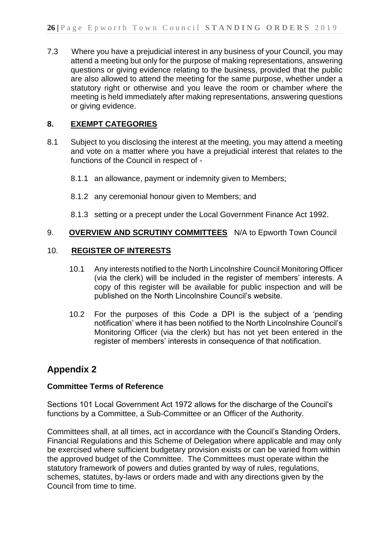7.3 Where you have a prejudicial interest in any business of your Council, you may attend a meeting but only for the purpose of making representations, answering questions or giving evidence relating to the business, provided that the public are also allowed to attend the meeting for the same purpose, whether under a statutory right or otherwise and you leave the room or chamber where the meeting is held immediately after making representations, answering questions or giving evidence.

#### **8. EXEMPT CATEGORIES**

- 8.1 Subject to you disclosing the interest at the meeting, you may attend a meeting and vote on a matter where you have a prejudicial interest that relates to the functions of the Council in respect of -
	- 8.1.1 an allowance, payment or indemnity given to Members;
	- 8.1.2 any ceremonial honour given to Members; and
	- 8.1.3 setting or a precept under the Local Government Finance Act 1992.

#### 9. **OVERVIEW AND SCRUTINY COMMITTEES** N/A to Epworth Town Council

#### 10. **REGISTER OF INTERESTS**

- 10.1 Any interests notified to the North Lincolnshire Council Monitoring Officer (via the clerk) will be included in the register of members' interests. A copy of this register will be available for public inspection and will be published on the North Lincolnshire Council's website.
- 10.2 For the purposes of this Code a DPI is the subject of a 'pending notification' where it has been notified to the North Lincolnshire Council's Monitoring Officer (via the clerk) but has not yet been entered in the register of members' interests in consequence of that notification.

#### **Appendix 2**

#### **Committee Terms of Reference**

Sections 101 Local Government Act 1972 allows for the discharge of the Council's functions by a Committee, a Sub-Committee or an Officer of the Authority.

Committees shall, at all times, act in accordance with the Council's Standing Orders, Financial Regulations and this Scheme of Delegation where applicable and may only be exercised where sufficient budgetary provision exists or can be varied from within the approved budget of the Committee. The Committees must operate within the statutory framework of powers and duties granted by way of rules, regulations, schemes, statutes, by-laws or orders made and with any directions given by the Council from time to time.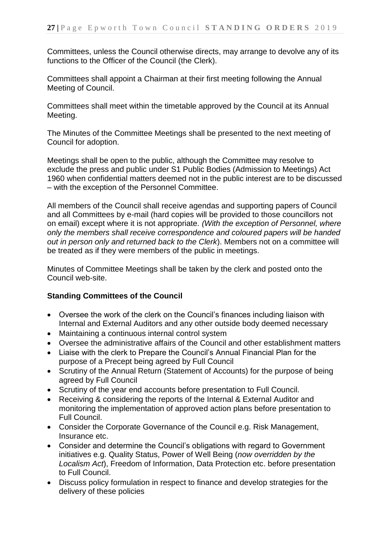Committees, unless the Council otherwise directs, may arrange to devolve any of its functions to the Officer of the Council (the Clerk).

Committees shall appoint a Chairman at their first meeting following the Annual Meeting of Council.

Committees shall meet within the timetable approved by the Council at its Annual Meeting.

The Minutes of the Committee Meetings shall be presented to the next meeting of Council for adoption.

Meetings shall be open to the public, although the Committee may resolve to exclude the press and public under S1 Public Bodies (Admission to Meetings) Act 1960 when confidential matters deemed not in the public interest are to be discussed – with the exception of the Personnel Committee.

All members of the Council shall receive agendas and supporting papers of Council and all Committees by e-mail (hard copies will be provided to those councillors not on email) except where it is not appropriate*. (With the exception of Personnel, where only the members shall receive correspondence and coloured papers will be handed out in person only and returned back to the Clerk*). Members not on a committee will be treated as if they were members of the public in meetings.

Minutes of Committee Meetings shall be taken by the clerk and posted onto the Council web-site.

#### **Standing Committees of the Council**

- Oversee the work of the clerk on the Council's finances including liaison with Internal and External Auditors and any other outside body deemed necessary
- Maintaining a continuous internal control system
- Oversee the administrative affairs of the Council and other establishment matters
- Liaise with the clerk to Prepare the Council's Annual Financial Plan for the purpose of a Precept being agreed by Full Council
- Scrutiny of the Annual Return (Statement of Accounts) for the purpose of being agreed by Full Council
- Scrutiny of the year end accounts before presentation to Full Council.
- Receiving & considering the reports of the Internal & External Auditor and monitoring the implementation of approved action plans before presentation to Full Council.
- Consider the Corporate Governance of the Council e.g. Risk Management, Insurance etc.
- Consider and determine the Council's obligations with regard to Government initiatives e.g. Quality Status, Power of Well Being (*now overridden by the Localism Act*), Freedom of Information, Data Protection etc. before presentation to Full Council.
- Discuss policy formulation in respect to finance and develop strategies for the delivery of these policies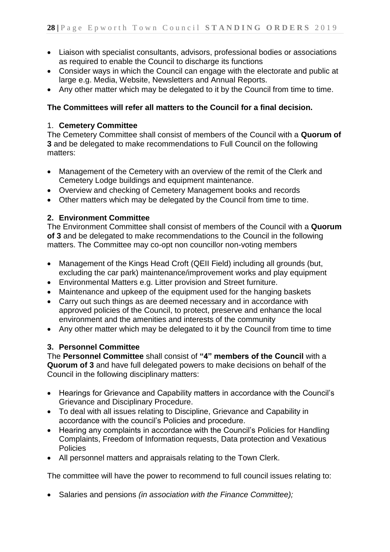- Liaison with specialist consultants, advisors, professional bodies or associations as required to enable the Council to discharge its functions
- Consider ways in which the Council can engage with the electorate and public at large e.g. Media, Website, Newsletters and Annual Reports.
- Any other matter which may be delegated to it by the Council from time to time.

#### **The Committees will refer all matters to the Council for a final decision.**

#### 1. **Cemetery Committee**

The Cemetery Committee shall consist of members of the Council with a **Quorum of 3** and be delegated to make recommendations to Full Council on the following matters:

- Management of the Cemetery with an overview of the remit of the Clerk and Cemetery Lodge buildings and equipment maintenance.
- Overview and checking of Cemetery Management books and records
- Other matters which may be delegated by the Council from time to time.

#### **2. Environment Committee**

The Environment Committee shall consist of members of the Council with a **Quorum of 3** and be delegated to make recommendations to the Council in the following matters. The Committee may co-opt non councillor non-voting members

- Management of the Kings Head Croft (QEII Field) including all grounds (but, excluding the car park) maintenance/improvement works and play equipment
- Environmental Matters e.g. Litter provision and Street furniture.
- Maintenance and upkeep of the equipment used for the hanging baskets
- Carry out such things as are deemed necessary and in accordance with approved policies of the Council, to protect, preserve and enhance the local environment and the amenities and interests of the community
- Any other matter which may be delegated to it by the Council from time to time

#### **3. Personnel Committee**

The **Personnel Committee** shall consist of **"4" members of the Council** with a **Quorum of 3** and have full delegated powers to make decisions on behalf of the Council in the following disciplinary matters:

- Hearings for Grievance and Capability matters in accordance with the Council's Grievance and Disciplinary Procedure.
- To deal with all issues relating to Discipline, Grievance and Capability in accordance with the council's Policies and procedure.
- Hearing any complaints in accordance with the Council's Policies for Handling Complaints, Freedom of Information requests, Data protection and Vexatious **Policies**
- All personnel matters and appraisals relating to the Town Clerk.

The committee will have the power to recommend to full council issues relating to:

Salaries and pensions *(in association with the Finance Committee);*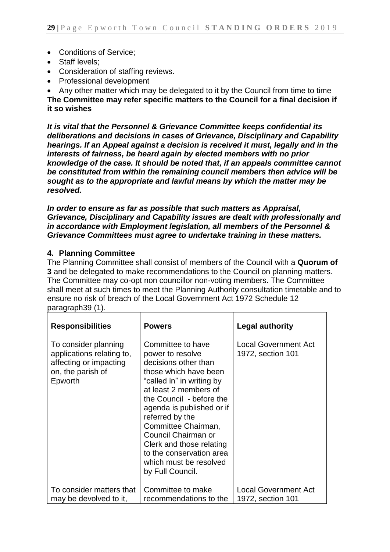- Conditions of Service;
- Staff levels:
- Consideration of staffing reviews.
- Professional development

Any other matter which may be delegated to it by the Council from time to time

**The Committee may refer specific matters to the Council for a final decision if it so wishes**

*It is vital that the Personnel & Grievance Committee keeps confidential its deliberations and decisions in cases of Grievance, Disciplinary and Capability hearings. If an Appeal against a decision is received it must, legally and in the interests of fairness, be heard again by elected members with no prior knowledge of the case. It should be noted that, if an appeals committee cannot be constituted from within the remaining council members then advice will be sought as to the appropriate and lawful means by which the matter may be resolved.* 

*In order to ensure as far as possible that such matters as Appraisal, Grievance, Disciplinary and Capability issues are dealt with professionally and in accordance with Employment legislation, all members of the Personnel & Grievance Committees must agree to undertake training in these matters.*

#### **4. Planning Committee**

The Planning Committee shall consist of members of the Council with a **Quorum of 3** and be delegated to make recommendations to the Council on planning matters. The Committee may co-opt non councillor non-voting members. The Committee shall meet at such times to meet the Planning Authority consultation timetable and to ensure no risk of breach of the Local Government Act 1972 Schedule 12 paragraph39 (1).

| <b>Responsibilities</b>                                                                                     | <b>Powers</b>                                                                                                                                                                                                                                                                                                                                                                | <b>Legal authority</b>                           |
|-------------------------------------------------------------------------------------------------------------|------------------------------------------------------------------------------------------------------------------------------------------------------------------------------------------------------------------------------------------------------------------------------------------------------------------------------------------------------------------------------|--------------------------------------------------|
| To consider planning<br>applications relating to,<br>affecting or impacting<br>on, the parish of<br>Epworth | Committee to have<br>power to resolve<br>decisions other than<br>those which have been<br>"called in" in writing by<br>at least 2 members of<br>the Council - before the<br>agenda is published or if<br>referred by the<br>Committee Chairman,<br>Council Chairman or<br>Clerk and those relating<br>to the conservation area<br>which must be resolved<br>by Full Council. | <b>Local Government Act</b><br>1972, section 101 |
| To consider matters that<br>may be devolved to it,                                                          | Committee to make<br>recommendations to the                                                                                                                                                                                                                                                                                                                                  | <b>Local Government Act</b><br>1972, section 101 |